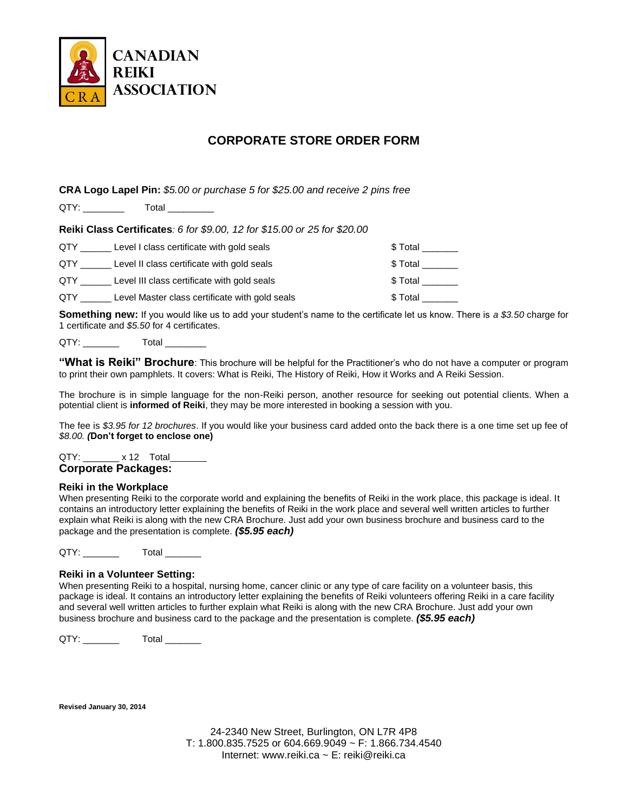

# **CORPORATE STORE ORDER FORM**

**CRA Logo Lapel Pin:** *\$5.00 or purchase 5 for \$25.00 and receive 2 pins free*

QTY: Total

**Reiki Class Certificates***: 6 for \$9.00, 12 for \$15.00 or 25 for \$20.00*

| QTY | Level I class certificate with gold seals      | \$ Total |
|-----|------------------------------------------------|----------|
| QTY | Level II class certificate with gold seals     | \$ Total |
| QTY | Level III class certificate with gold seals    | \$ Total |
| QTY | Level Master class certificate with gold seals | \$ Total |

**Something new:** If you would like us to add your student's name to the certificate let us know. There is *a \$3.50* charge for 1 certificate and *\$5.50* for 4 certificates.

QTY: \_\_\_\_\_\_\_\_\_\_\_\_\_\_ Total

**"What is Reiki" Brochure**: This brochure will be helpful for the Practitioner's who do not have a computer or program to print their own pamphlets. It covers: What is Reiki, The History of Reiki, How it Works and A Reiki Session.

The brochure is in simple language for the non-Reiki person, another resource for seeking out potential clients. When a potential client is **informed of Reiki**, they may be more interested in booking a session with you.

The fee is *\$3.95 for 12 brochures*. If you would like your business card added onto the back there is a one time set up fee of *\$8.00. (***Don't forget to enclose one)**

QTY: x 12 Total **Corporate Packages:**

### **Reiki in the Workplace**

When presenting Reiki to the corporate world and explaining the benefits of Reiki in the work place, this package is ideal. It contains an introductory letter explaining the benefits of Reiki in the work place and several well written articles to further explain what Reiki is along with the new CRA Brochure. Just add your own business brochure and business card to the package and the presentation is complete. *(\$5.95 each)*

QTY: Total

### **Reiki in a Volunteer Setting:**

When presenting Reiki to a hospital, nursing home, cancer clinic or any type of care facility on a volunteer basis, this package is ideal. It contains an introductory letter explaining the benefits of Reiki volunteers offering Reiki in a care facility and several well written articles to further explain what Reiki is along with the new CRA Brochure. Just add your own business brochure and business card to the package and the presentation is complete. *(\$5.95 each)*

QTY: Total

**Revised January 30, 2014**

24-2340 New Street, Burlington, ON L7R 4P8 T: 1.800.835.7525 or 604.669.9049 ~ F: 1.866.734.4540 Internet: www.reiki.ca ~ E: reiki@reiki.ca